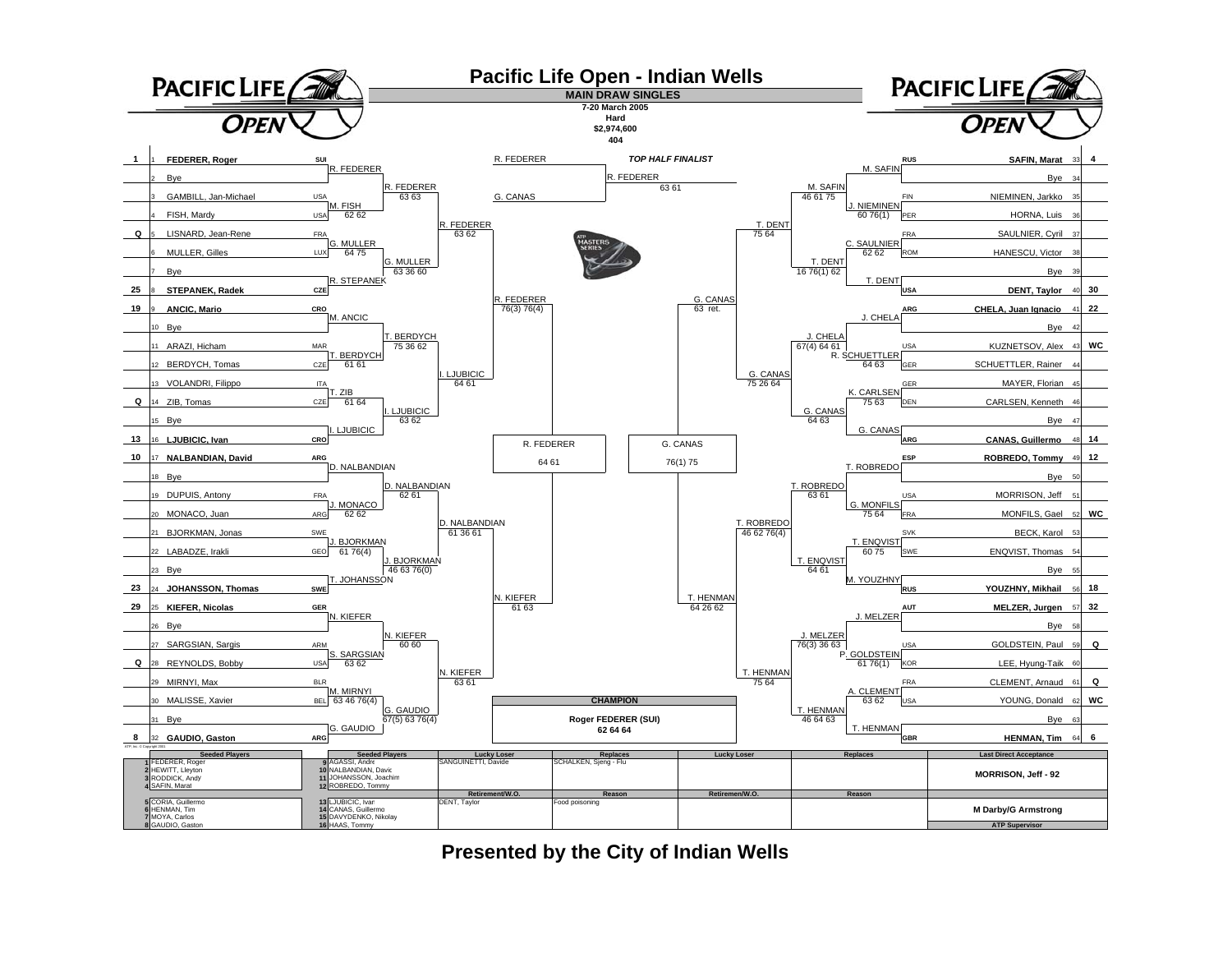

**Presented by the City of Indian Wells**